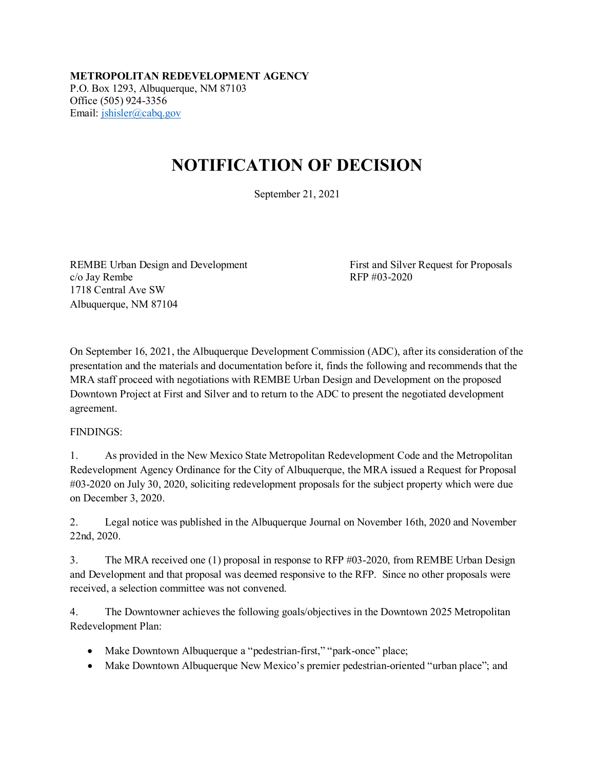**METROPOLITAN REDEVELOPMENT AGENCY** P.O. Box 1293, Albuquerque, NM 87103 Office (505) 924-3356 Email: [jshisler@cabq.gov](mailto:jshisler@cabq.gov)

## **NOTIFICATION OF DECISION**

September 21, 2021

REMBE Urban Design and Development First and Silver Request for Proposals  $c/\sigma$  Jay Rembe RFP #03-2020 1718 Central Ave SW Albuquerque, NM 87104

On September 16, 2021, the Albuquerque Development Commission (ADC), after its consideration of the presentation and the materials and documentation before it, finds the following and recommends that the MRA staff proceed with negotiations with REMBE Urban Design and Development on the proposed Downtown Project at First and Silver and to return to the ADC to present the negotiated development agreement.

## FINDINGS:

1. As provided in the New Mexico State Metropolitan Redevelopment Code and the Metropolitan Redevelopment Agency Ordinance for the City of Albuquerque, the MRA issued a Request for Proposal #03-2020 on July 30, 2020, soliciting redevelopment proposals for the subject property which were due on December 3, 2020.

2. Legal notice was published in the Albuquerque Journal on November 16th, 2020 and November 22nd, 2020.

3. The MRA received one (1) proposal in response to RFP #03-2020, from REMBE Urban Design and Development and that proposal was deemed responsive to the RFP. Since no other proposals were received, a selection committee was not convened.

4. The Downtowner achieves the following goals/objectives in the Downtown 2025 Metropolitan Redevelopment Plan:

- Make Downtown Albuquerque a "pedestrian-first," "park-once" place;
- Make Downtown Albuquerque New Mexico's premier pedestrian-oriented "urban place"; and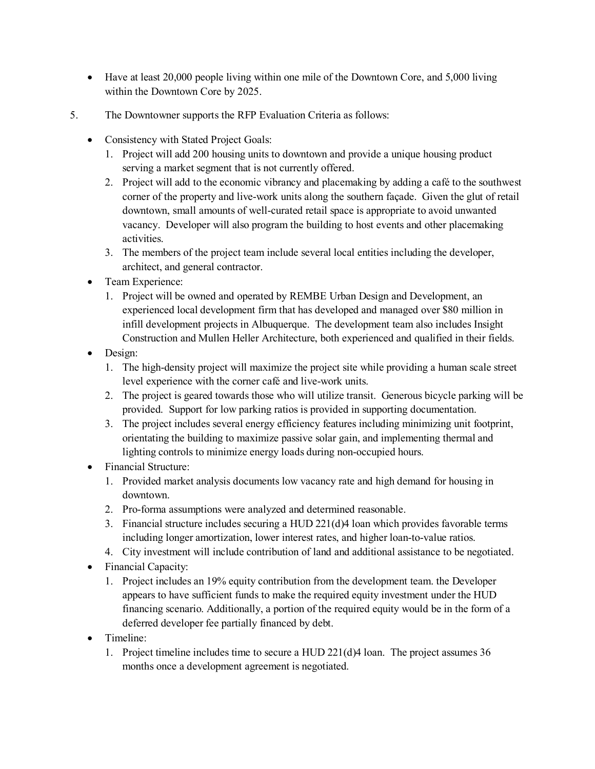- Have at least 20,000 people living within one mile of the Downtown Core, and 5,000 living within the Downtown Core by 2025.
- 5. The Downtowner supports the RFP Evaluation Criteria as follows:
	- Consistency with Stated Project Goals:
		- 1. Project will add 200 housing units to downtown and provide a unique housing product serving a market segment that is not currently offered.
		- 2. Project will add to the economic vibrancy and placemaking by adding a café to the southwest corner of the property and live-work units along the southern façade. Given the glut of retail downtown, small amounts of well-curated retail space is appropriate to avoid unwanted vacancy. Developer will also program the building to host events and other placemaking activities.
		- 3. The members of the project team include several local entities including the developer, architect, and general contractor.
	- Team Experience:
		- 1. Project will be owned and operated by REMBE Urban Design and Development, an experienced local development firm that has developed and managed over \$80 million in infill development projects in Albuquerque. The development team also includes Insight Construction and Mullen Heller Architecture, both experienced and qualified in their fields.
	- Design:
		- 1. The high-density project will maximize the project site while providing a human scale street level experience with the corner café and live-work units.
		- 2. The project is geared towards those who will utilize transit. Generous bicycle parking will be provided. Support for low parking ratios is provided in supporting documentation.
		- 3. The project includes several energy efficiency features including minimizing unit footprint, orientating the building to maximize passive solar gain, and implementing thermal and lighting controls to minimize energy loads during non-occupied hours.
	- Financial Structure:
		- 1. Provided market analysis documents low vacancy rate and high demand for housing in downtown.
		- 2. Pro-forma assumptions were analyzed and determined reasonable.
		- 3. Financial structure includes securing a HUD 221(d)4 loan which provides favorable terms including longer amortization, lower interest rates, and higher loan-to-value ratios.
		- 4. City investment will include contribution of land and additional assistance to be negotiated.
	- Financial Capacity:
		- 1. Project includes an 19% equity contribution from the development team. the Developer appears to have sufficient funds to make the required equity investment under the HUD financing scenario. Additionally, a portion of the required equity would be in the form of a deferred developer fee partially financed by debt.
	- Timeline:
		- 1. Project timeline includes time to secure a HUD 221(d)4 loan. The project assumes 36 months once a development agreement is negotiated.